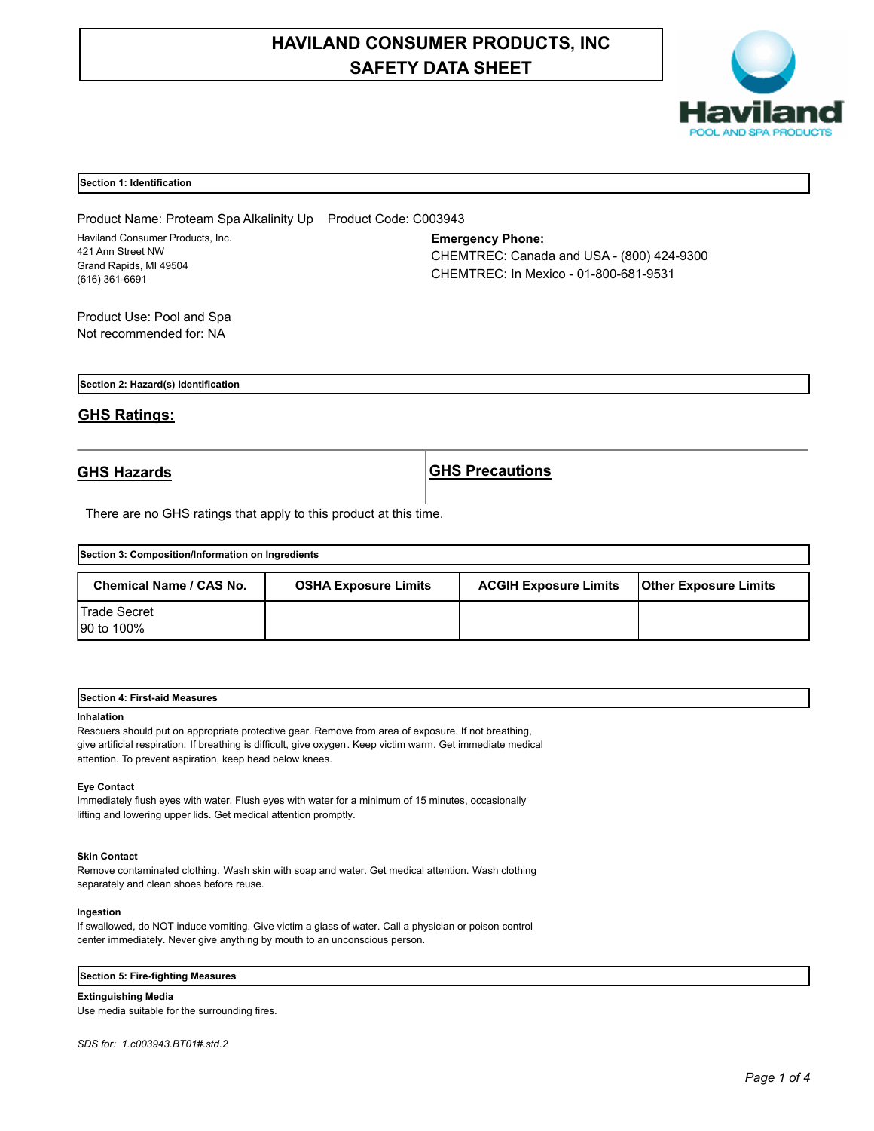# **HAVILAND CONSUMER PRODUCTS, INC SAFETY DATA SHEET**



# **Section 1: Identification**

Product Name: Proteam Spa Alkalinity Up Product Code: C003943 Haviland Consumer Products, Inc. 421 Ann Street NW Grand Rapids, MI 49504 (616) 361-6691

# **Emergency Phone:**

CHEMTREC: Canada and USA - (800) 424-9300 CHEMTREC: In Mexico - 01-800-681-9531

Product Use: Pool and Spa Not recommended for: NA

**Section 2: Hazard(s) Identification**

# **GHS Ratings:**

**GHS Hazards GHS Precautions**

There are no GHS ratings that apply to this product at this time.

| Section 3: Composition/Information on Ingredients |                             |                              |                              |  |
|---------------------------------------------------|-----------------------------|------------------------------|------------------------------|--|
| <b>Chemical Name / CAS No.</b>                    | <b>OSHA Exposure Limits</b> | <b>ACGIH Exposure Limits</b> | <b>Other Exposure Limits</b> |  |
| <b>Trade Secret</b><br>90 to 100%                 |                             |                              |                              |  |

| Section<br><b>First-aid Measures</b> |  |  |
|--------------------------------------|--|--|
|                                      |  |  |

# **Inhalation**

Rescuers should put on appropriate protective gear. Remove from area of exposure. If not breathing, give artificial respiration. If breathing is difficult, give oxygen. Keep victim warm. Get immediate medical attention. To prevent aspiration, keep head below knees.

# **Eye Contact**

Immediately flush eyes with water. Flush eyes with water for a minimum of 15 minutes, occasionally lifting and lowering upper lids. Get medical attention promptly.

# **Skin Contact**

Remove contaminated clothing. Wash skin with soap and water. Get medical attention. Wash clothing separately and clean shoes before reuse.

# **Ingestion**

If swallowed, do NOT induce vomiting. Give victim a glass of water. Call a physician or poison control center immediately. Never give anything by mouth to an unconscious person.

### **Section 5: Fire-fighting Measures**

**Extinguishing Media** Use media suitable for the surrounding fires.

*SDS for: 1.c003943.BT01#.std.2*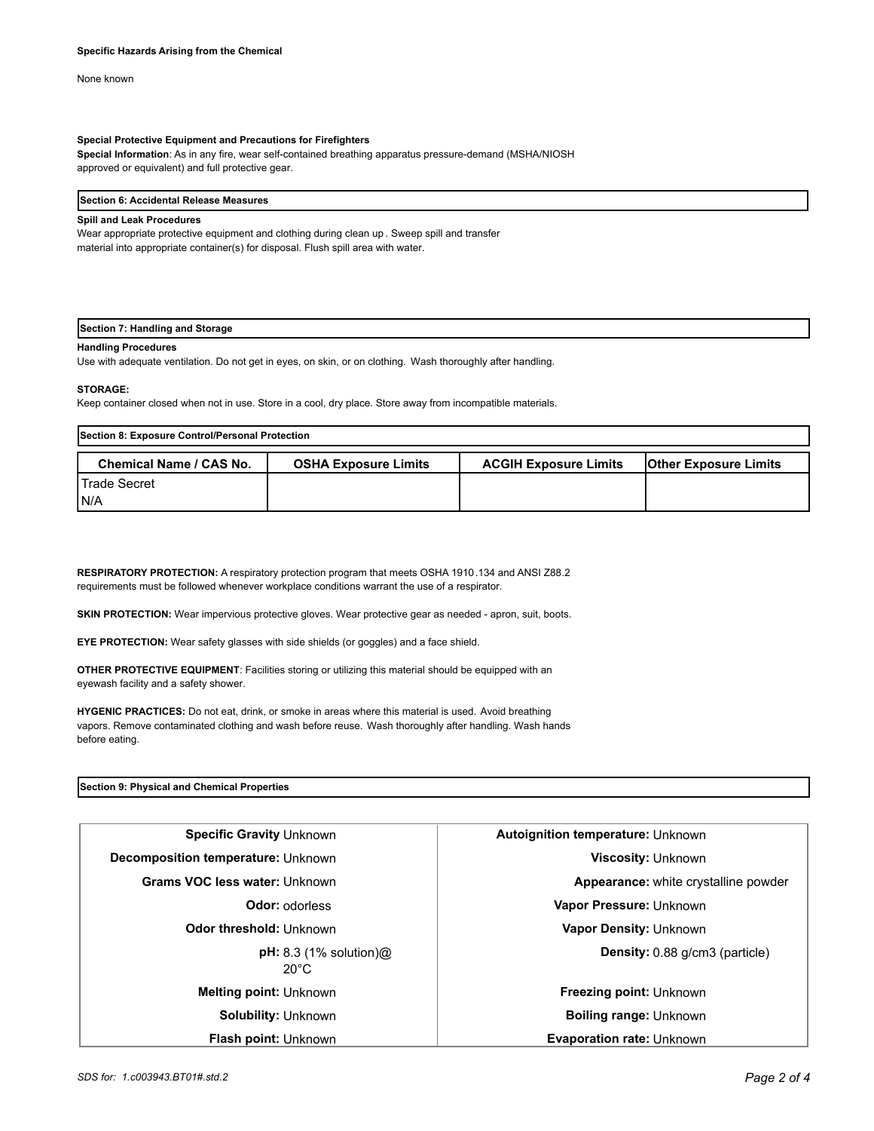None known

# **Special Protective Equipment and Precautions for Firefighters**

**Special Information**: As in any fire, wear self-contained breathing apparatus pressure-demand (MSHA/NIOSH approved or equivalent) and full protective gear.

#### **Section 6: Accidental Release Measures**

# **Spill and Leak Procedures**

Wear appropriate protective equipment and clothing during clean up . Sweep spill and transfer material into appropriate container(s) for disposal. Flush spill area with water.

# **Section 7: Handling and Storage**

# **Handling Procedures**

Use with adequate ventilation. Do not get in eyes, on skin, or on clothing. Wash thoroughly after handling.

# **STORAGE:**

Keep container closed when not in use. Store in a cool, dry place. Store away from incompatible materials.

| Section 8: Exposure Control/Personal Protection |                             |                              |                              |  |
|-------------------------------------------------|-----------------------------|------------------------------|------------------------------|--|
| <b>Chemical Name / CAS No.</b>                  | <b>OSHA Exposure Limits</b> | <b>ACGIH Exposure Limits</b> | <b>Other Exposure Limits</b> |  |
| l Trade Secret<br>IN/A                          |                             |                              |                              |  |

**RESPIRATORY PROTECTION:** A respiratory protection program that meets OSHA 1910.134 and ANSI Z88.2 requirements must be followed whenever workplace conditions warrant the use of a respirator.

**SKIN PROTECTION:** Wear impervious protective gloves. Wear protective gear as needed - apron, suit, boots.

**EYE PROTECTION:** Wear safety glasses with side shields (or goggles) and a face shield.

**OTHER PROTECTIVE EQUIPMENT**: Facilities storing or utilizing this material should be equipped with an eyewash facility and a safety shower.

**HYGENIC PRACTICES:** Do not eat, drink, or smoke in areas where this material is used. Avoid breathing vapors. Remove contaminated clothing and wash before reuse. Wash thoroughly after handling. Wash hands before eating.

# **Section 9: Physical and Chemical Properties**

| <b>Specific Gravity Unknown</b>               | <b>Autoignition temperature: Unknown</b> |  |
|-----------------------------------------------|------------------------------------------|--|
| Decomposition temperature: Unknown            | Viscosity: Unknown                       |  |
| Grams VOC less water: Unknown                 | Appearance: white crystalline powder     |  |
| <b>Odor: odorless</b>                         | Vapor Pressure: Unknown                  |  |
| Odor threshold: Unknown                       | Vapor Density: Unknown                   |  |
| $pH: 8.3$ (1% solution) $@$<br>$20^{\circ}$ C | <b>Density:</b> 0.88 g/cm3 (particle)    |  |
| <b>Melting point: Unknown</b>                 | Freezing point: Unknown                  |  |
| <b>Solubility: Unknown</b>                    | <b>Boiling range: Unknown</b>            |  |
| <b>Flash point: Unknown</b>                   | <b>Evaporation rate: Unknown</b>         |  |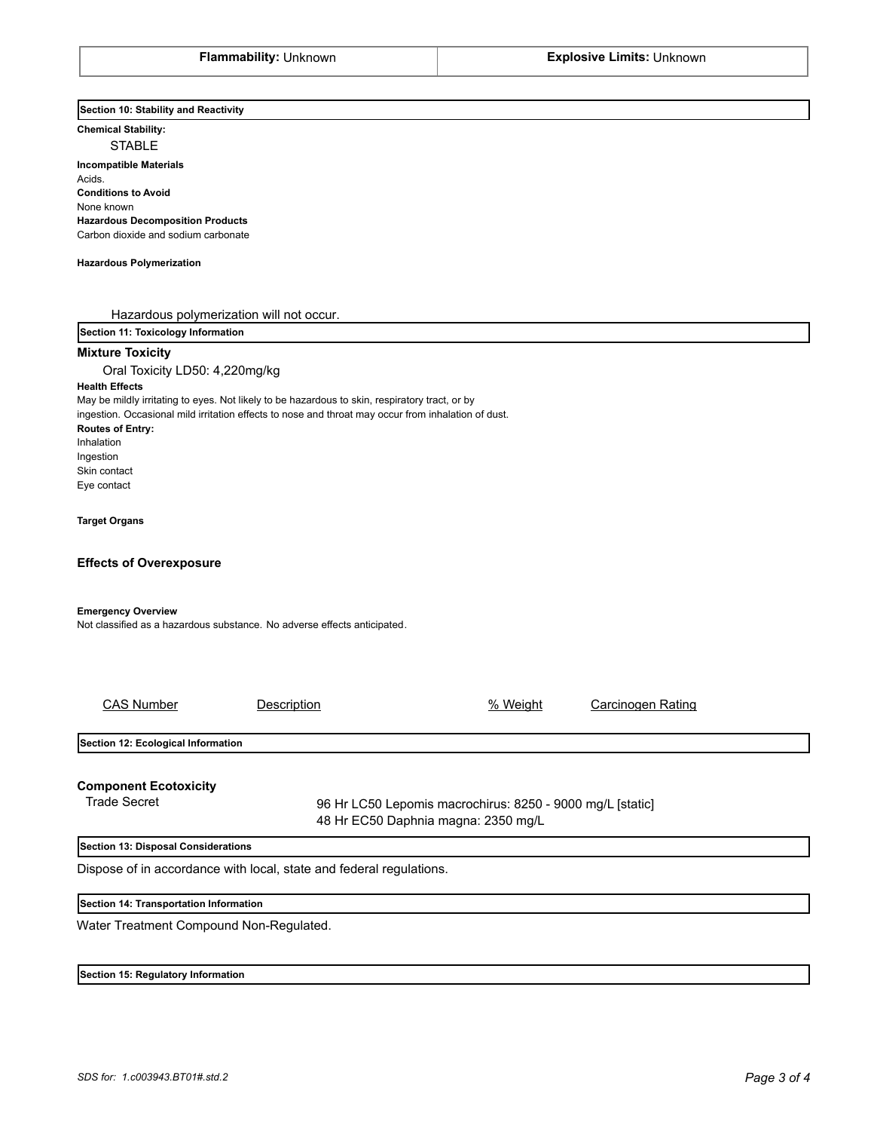**Section 10: Stability and Reactivity** 

**Chemical Stability:**

STABLE

**Incompatible Materials**  Acids. **Conditions to Avoid** None known **Hazardous Decomposition Products** Carbon dioxide and sodium carbonate

#### **Hazardous Polymerization**

Hazardous polymerization will not occur.

**Section 11: Toxicology Information**

# **Mixture Toxicity**

Oral Toxicity LD50: 4,220mg/kg **Health Effects** May be mildly irritating to eyes. Not likely to be hazardous to skin, respiratory tract, or by ingestion. Occasional mild irritation effects to nose and throat may occur from inhalation of dust. **Routes of Entry:** Inhalation Ingestion Skin contact Eye contact

#### **Target Organs**

# **Effects of Overexposure**

# **Emergency Overview**

Not classified as a hazardous substance. No adverse effects anticipated.

| <b>CAS Number</b>                      | Description                                                         | % Weight                                                                                         | Carcinogen Rating |  |
|----------------------------------------|---------------------------------------------------------------------|--------------------------------------------------------------------------------------------------|-------------------|--|
| Section 12: Ecological Information     |                                                                     |                                                                                                  |                   |  |
| <b>Component Ecotoxicity</b>           |                                                                     |                                                                                                  |                   |  |
| <b>Trade Secret</b>                    |                                                                     | 96 Hr LC50 Lepomis macrochirus: 8250 - 9000 mg/L [static]<br>48 Hr EC50 Daphnia magna: 2350 mg/L |                   |  |
| Section 13: Disposal Considerations    |                                                                     |                                                                                                  |                   |  |
|                                        | Dispose of in accordance with local, state and federal regulations. |                                                                                                  |                   |  |
| Section 14: Transportation Information |                                                                     |                                                                                                  |                   |  |

Water Treatment Compound Non-Regulated.

**Section 15: Regulatory Information**